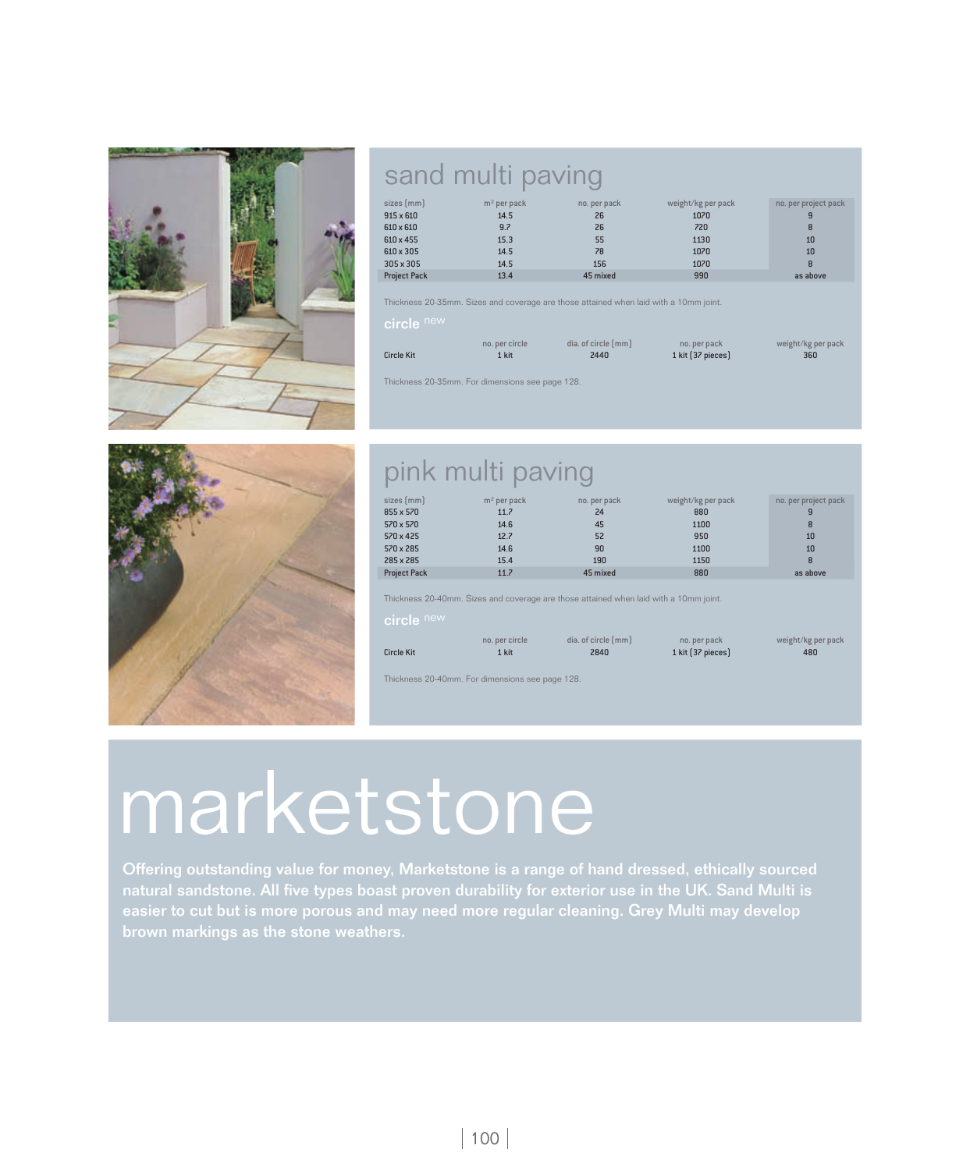

### sand multi paving

| $sizes$ (mm)<br>$915 \times 610$ | $m2$ per pack<br>14.5 | no. per pack<br>26 | weight/kg per pack<br>1070 | no. per project pack<br>9 |
|----------------------------------|-----------------------|--------------------|----------------------------|---------------------------|
| 610 x 610                        | 9.7                   | 26                 | 720                        | 8                         |
| 610 x 455                        | 15.3                  | 55                 | 1130                       | 10                        |
| 610 x 305                        | 14.5                  | 78                 | 1070                       | 10                        |
| 305 x 305                        | 14.5                  | 156                | 1070                       | 8                         |
| <b>Project Pack</b>              | 13.4                  | 45 mixed           | 990                        | as above                  |

Thickness 20-35mm. Sizes and coverage are those attained when laid with a 10mm joint.

### circle new

|                   | no, per circle | dia, of circle (mm) | no. per pack      | weight/kg per pack |
|-------------------|----------------|---------------------|-------------------|--------------------|
| <b>Circle Kit</b> | 1 kit          | 2440                | 1 kit [37 pieces] | 360                |

Thickness 20-35mm. For dimensions see page 128.



## pink multi paving

| sizes/mm            | $m2$ per pack | no. per pack | weight/kg per pack | no. per project pack |
|---------------------|---------------|--------------|--------------------|----------------------|
| 855 x 570           | 11.7          | 24           | 880                |                      |
| 570 x 570           | 14.6          | 45           | 1100               | 8                    |
| 570 x 425           | 12.7          | 52           | 950                | 10                   |
| 570 x 285           | 14.6          | 90           | 1100               | 10                   |
| 285 x 285           | 15.4          | 190          | 1150               | 8                    |
| <b>Project Pack</b> | 11.7          | 45 mixed     | 880                | as above             |

Thickness 20-40mm. Sizes and coverage are those attained when laid with a 10mm joint.

### circle new

|                   | no, per circle | dia, of circle [mm] | no. per pack      | weight/kg per pack |
|-------------------|----------------|---------------------|-------------------|--------------------|
| <b>Circle Kit</b> | 1 kit          | 2840                | 1 kit [37 pieces] | 480                |

Thickness 20-40mm. For dimensions see page 128.

# marketstone

Offering outstanding value for money, Marketstone is a range of hand dressed, ethically sourced natural sandstone. All five types boast proven durability for exterior use in the UK. Sand Multi is easier to cut but is more porous and may need more regular cleaning. Grey Multi may develop brown markings as the stone weathers.